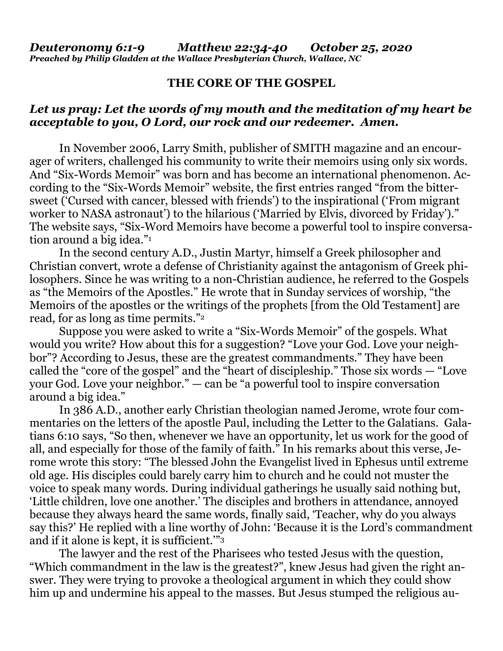## **THE CORE OF THE GOSPEL**

## *Let us pray: Let the words of my mouth and the meditation of my heart be acceptable to you, O Lord, our rock and our redeemer. Amen.*

In November 2006, Larry Smith, publisher of SMITH magazine and an encourager of writers, challenged his community to write their memoirs using only six words. And "Six-Words Memoir" was born and has become an international phenomenon. According to the "Six-Words Memoir" website, the first entries ranged "from the bittersweet ('Cursed with cancer, blessed with friends') to the inspirational ('From migrant worker to NASA astronaut') to the hilarious ('Married by Elvis, divorced by Friday')." The website says, "Six-Word Memoirs have become a powerful tool to inspire conversation around a big idea."<sup>1</sup>

In the second century A.D., Justin Martyr, himself a Greek philosopher and Christian convert, wrote a defense of Christianity against the antagonism of Greek philosophers. Since he was writing to a non-Christian audience, he referred to the Gospels as "the Memoirs of the Apostles." He wrote that in Sunday services of worship, "the Memoirs of the apostles or the writings of the prophets [from the Old Testament] are read, for as long as time permits."<sup>2</sup>

Suppose you were asked to write a "Six-Words Memoir" of the gospels. What would you write? How about this for a suggestion? "Love your God. Love your neighbor"? According to Jesus, these are the greatest commandments." They have been called the "core of the gospel" and the "heart of discipleship." Those six words — "Love your God. Love your neighbor." — can be "a powerful tool to inspire conversation around a big idea."

In 386 A.D., another early Christian theologian named Jerome, wrote four commentaries on the letters of the apostle Paul, including the Letter to the Galatians. Galatians 6:10 says, "So then, whenever we have an opportunity, let us work for the good of all, and especially for those of the family of faith." In his remarks about this verse, Jerome wrote this story: "The blessed John the Evangelist lived in Ephesus until extreme old age. His disciples could barely carry him to church and he could not muster the voice to speak many words. During individual gatherings he usually said nothing but, 'Little children, love one another.' The disciples and brothers in attendance, annoyed because they always heard the same words, finally said, 'Teacher, why do you always say this?' He replied with a line worthy of John: 'Because it is the Lord's commandment and if it alone is kept, it is sufficient.'"<sup>3</sup>

The lawyer and the rest of the Pharisees who tested Jesus with the question, "Which commandment in the law is the greatest?", knew Jesus had given the right answer. They were trying to provoke a theological argument in which they could show him up and undermine his appeal to the masses. But Jesus stumped the religious au-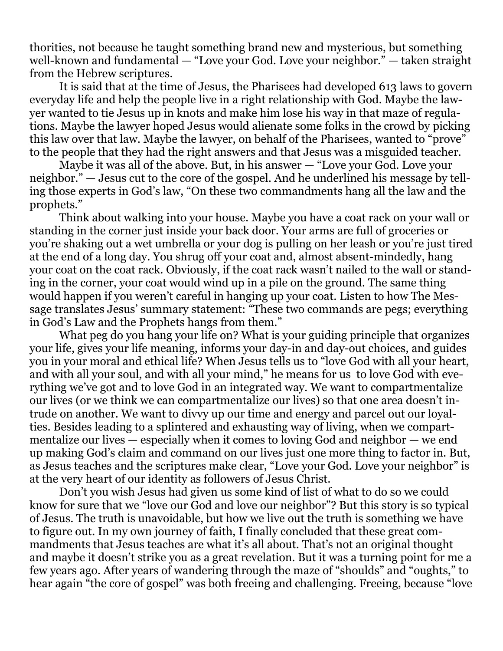thorities, not because he taught something brand new and mysterious, but something well-known and fundamental — "Love your God. Love your neighbor." — taken straight from the Hebrew scriptures.

It is said that at the time of Jesus, the Pharisees had developed 613 laws to govern everyday life and help the people live in a right relationship with God. Maybe the lawyer wanted to tie Jesus up in knots and make him lose his way in that maze of regulations. Maybe the lawyer hoped Jesus would alienate some folks in the crowd by picking this law over that law. Maybe the lawyer, on behalf of the Pharisees, wanted to "prove" to the people that they had the right answers and that Jesus was a misguided teacher.

Maybe it was all of the above. But, in his answer — "Love your God. Love your neighbor." — Jesus cut to the core of the gospel. And he underlined his message by telling those experts in God's law, "On these two commandments hang all the law and the prophets."

Think about walking into your house. Maybe you have a coat rack on your wall or standing in the corner just inside your back door. Your arms are full of groceries or you're shaking out a wet umbrella or your dog is pulling on her leash or you're just tired at the end of a long day. You shrug off your coat and, almost absent-mindedly, hang your coat on the coat rack. Obviously, if the coat rack wasn't nailed to the wall or standing in the corner, your coat would wind up in a pile on the ground. The same thing would happen if you weren't careful in hanging up your coat. Listen to how The Message translates Jesus' summary statement: "These two commands are pegs; everything in God's Law and the Prophets hangs from them."

What peg do you hang your life on? What is your guiding principle that organizes your life, gives your life meaning, informs your day-in and day-out choices, and guides you in your moral and ethical life? When Jesus tells us to "love God with all your heart, and with all your soul, and with all your mind," he means for us to love God with everything we've got and to love God in an integrated way. We want to compartmentalize our lives (or we think we can compartmentalize our lives) so that one area doesn't intrude on another. We want to divvy up our time and energy and parcel out our loyalties. Besides leading to a splintered and exhausting way of living, when we compartmentalize our lives — especially when it comes to loving God and neighbor — we end up making God's claim and command on our lives just one more thing to factor in. But, as Jesus teaches and the scriptures make clear, "Love your God. Love your neighbor" is at the very heart of our identity as followers of Jesus Christ.

Don't you wish Jesus had given us some kind of list of what to do so we could know for sure that we "love our God and love our neighbor"? But this story is so typical of Jesus. The truth is unavoidable, but how we live out the truth is something we have to figure out. In my own journey of faith, I finally concluded that these great commandments that Jesus teaches are what it's all about. That's not an original thought and maybe it doesn't strike you as a great revelation. But it was a turning point for me a few years ago. After years of wandering through the maze of "shoulds" and "oughts," to hear again "the core of gospel" was both freeing and challenging. Freeing, because "love